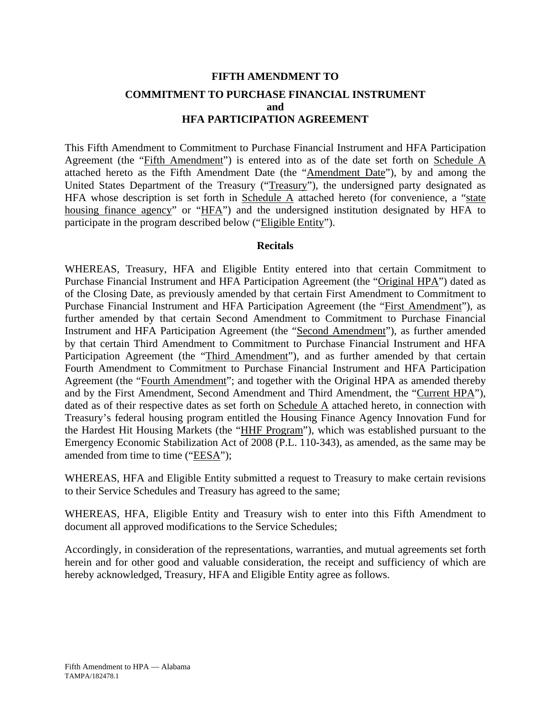# **FIFTH AMENDMENT TO COMMITMENT TO PURCHASE FINANCIAL INSTRUMENT and HFA PARTICIPATION AGREEMENT**

This Fifth Amendment to Commitment to Purchase Financial Instrument and HFA Participation Agreement (the "Fifth Amendment") is entered into as of the date set forth on Schedule A attached hereto as the Fifth Amendment Date (the "Amendment Date"), by and among the United States Department of the Treasury ("Treasury"), the undersigned party designated as HFA whose description is set forth in Schedule  $\overline{A}$  attached hereto (for convenience, a "state housing finance agency" or "HFA") and the undersigned institution designated by HFA to participate in the program described below ("Eligible Entity").

## **Recitals**

WHEREAS, Treasury, HFA and Eligible Entity entered into that certain Commitment to Purchase Financial Instrument and HFA Participation Agreement (the "Original HPA") dated as of the Closing Date, as previously amended by that certain First Amendment to Commitment to Purchase Financial Instrument and HFA Participation Agreement (the "First Amendment"), as further amended by that certain Second Amendment to Commitment to Purchase Financial Instrument and HFA Participation Agreement (the "Second Amendment"), as further amended by that certain Third Amendment to Commitment to Purchase Financial Instrument and HFA Participation Agreement (the "Third Amendment"), and as further amended by that certain Fourth Amendment to Commitment to Purchase Financial Instrument and HFA Participation Agreement (the "Fourth Amendment"; and together with the Original HPA as amended thereby and by the First Amendment, Second Amendment and Third Amendment, the "Current HPA"), dated as of their respective dates as set forth on Schedule A attached hereto, in connection with Treasury's federal housing program entitled the Housing Finance Agency Innovation Fund for the Hardest Hit Housing Markets (the "HHF Program"), which was established pursuant to the Emergency Economic Stabilization Act of 2008 (P.L. 110-343), as amended, as the same may be amended from time to time ("EESA");

WHEREAS, HFA and Eligible Entity submitted a request to Treasury to make certain revisions to their Service Schedules and Treasury has agreed to the same;

WHEREAS, HFA, Eligible Entity and Treasury wish to enter into this Fifth Amendment to document all approved modifications to the Service Schedules;

Accordingly, in consideration of the representations, warranties, and mutual agreements set forth herein and for other good and valuable consideration, the receipt and sufficiency of which are hereby acknowledged, Treasury, HFA and Eligible Entity agree as follows.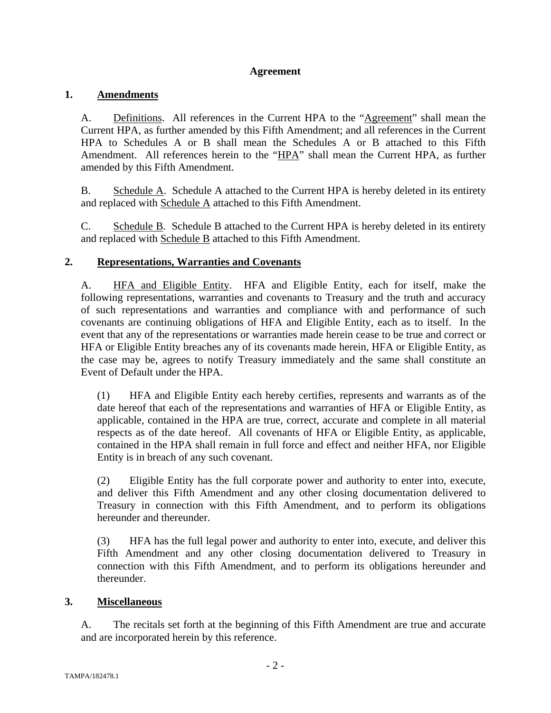## **Agreement**

## **1. Amendments**

A. Definitions. All references in the Current HPA to the "Agreement" shall mean the Current HPA, as further amended by this Fifth Amendment; and all references in the Current HPA to Schedules A or B shall mean the Schedules A or B attached to this Fifth Amendment. All references herein to the "HPA" shall mean the Current HPA, as further amended by this Fifth Amendment.

B. Schedule A. Schedule A attached to the Current HPA is hereby deleted in its entirety and replaced with Schedule A attached to this Fifth Amendment.

C. Schedule B. Schedule B attached to the Current HPA is hereby deleted in its entirety and replaced with Schedule B attached to this Fifth Amendment.

## **2. Representations, Warranties and Covenants**

A. HFA and Eligible Entity. HFA and Eligible Entity, each for itself, make the following representations, warranties and covenants to Treasury and the truth and accuracy of such representations and warranties and compliance with and performance of such covenants are continuing obligations of HFA and Eligible Entity, each as to itself. In the event that any of the representations or warranties made herein cease to be true and correct or HFA or Eligible Entity breaches any of its covenants made herein, HFA or Eligible Entity, as the case may be, agrees to notify Treasury immediately and the same shall constitute an Event of Default under the HPA.

(1) HFA and Eligible Entity each hereby certifies, represents and warrants as of the date hereof that each of the representations and warranties of HFA or Eligible Entity, as applicable, contained in the HPA are true, correct, accurate and complete in all material respects as of the date hereof. All covenants of HFA or Eligible Entity, as applicable, contained in the HPA shall remain in full force and effect and neither HFA, nor Eligible Entity is in breach of any such covenant.

(2) Eligible Entity has the full corporate power and authority to enter into, execute, and deliver this Fifth Amendment and any other closing documentation delivered to Treasury in connection with this Fifth Amendment, and to perform its obligations hereunder and thereunder.

(3) HFA has the full legal power and authority to enter into, execute, and deliver this Fifth Amendment and any other closing documentation delivered to Treasury in connection with this Fifth Amendment, and to perform its obligations hereunder and thereunder.

## **3. Miscellaneous**

A. The recitals set forth at the beginning of this Fifth Amendment are true and accurate and are incorporated herein by this reference.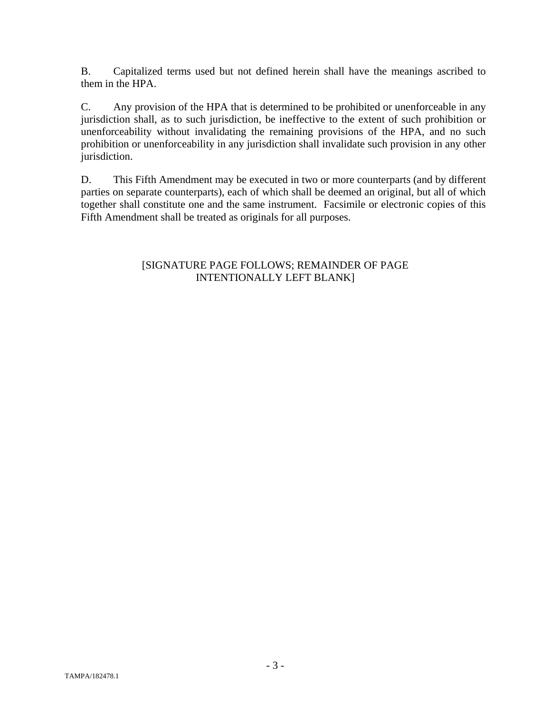B. Capitalized terms used but not defined herein shall have the meanings ascribed to them in the HPA.

C. Any provision of the HPA that is determined to be prohibited or unenforceable in any jurisdiction shall, as to such jurisdiction, be ineffective to the extent of such prohibition or unenforceability without invalidating the remaining provisions of the HPA, and no such prohibition or unenforceability in any jurisdiction shall invalidate such provision in any other jurisdiction.

D. This Fifth Amendment may be executed in two or more counterparts (and by different parties on separate counterparts), each of which shall be deemed an original, but all of which together shall constitute one and the same instrument. Facsimile or electronic copies of this Fifth Amendment shall be treated as originals for all purposes.

## [SIGNATURE PAGE FOLLOWS; REMAINDER OF PAGE INTENTIONALLY LEFT BLANK]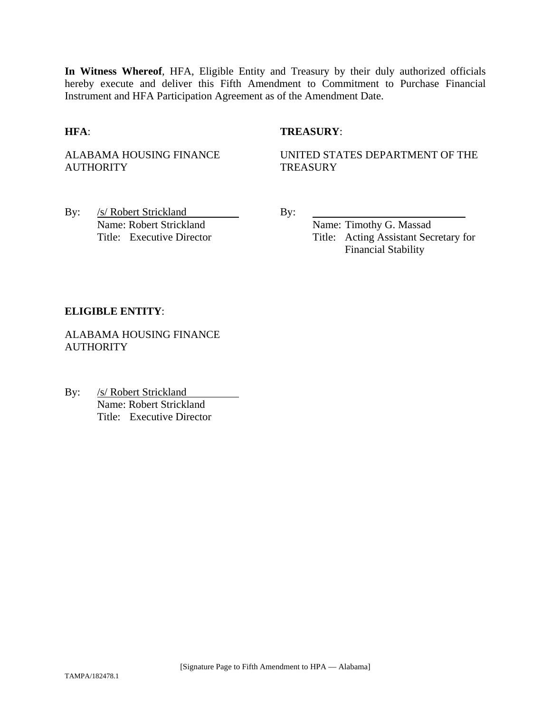**In Witness Whereof**, HFA, Eligible Entity and Treasury by their duly authorized officials hereby execute and deliver this Fifth Amendment to Commitment to Purchase Financial Instrument and HFA Participation Agreement as of the Amendment Date.

## **HFA**: **TREASURY**:

ALABAMA HOUSING FINANCE **AUTHORITY** 

UNITED STATES DEPARTMENT OF THE **TREASURY** 

By: /s/ Robert Strickland By: Name: Robert Strickland Name: Timothy G. Massad

Title: Executive Director Title: Acting Assistant Secretary for Financial Stability

## **ELIGIBLE ENTITY**:

ALABAMA HOUSING FINANCE **AUTHORITY** 

By: /s/ Robert Strickland Name: Robert Strickland Title: Executive Director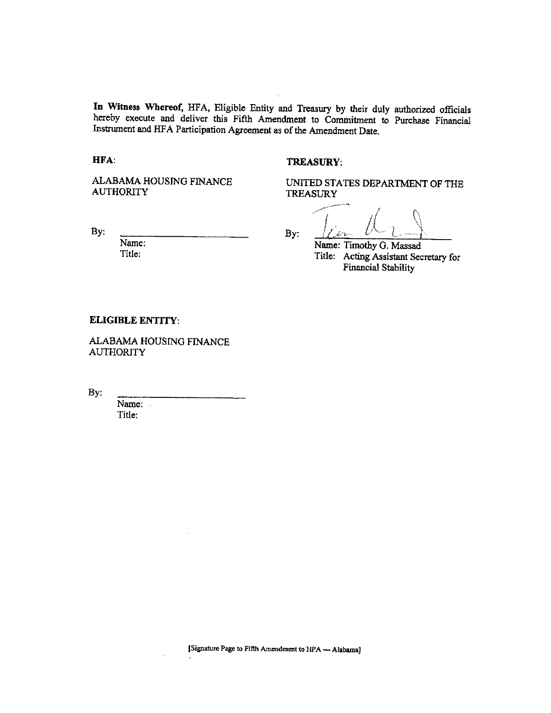In Witness Whereof, HFA, Eligible Entity and Treasury by their duly authorized officials hereby execute and deliver this Fifth Amendment to Commitment to Purchase Financial Instrument and HFA Participation Agreement as of the Amendment Date.

### HFA:

#### **TREASURY.**

ALABAMA HOUSING FINANCE **AUTHORITY** 

By:

Name: Title:

UNITED STATES DEPARTMENT OF THE **TREASURY** 

 $By:$ 

Name: Timothy G. Massad Title: Acting Assistant Secretary for **Financial Stability** 

#### **ELIGIBLE ENTITY:**

ALABAMA HOUSING FINANCE **AUTHORITY** 

By:

Name: Title:

[Signature Page to Fifth Amendment to HPA - Alabama]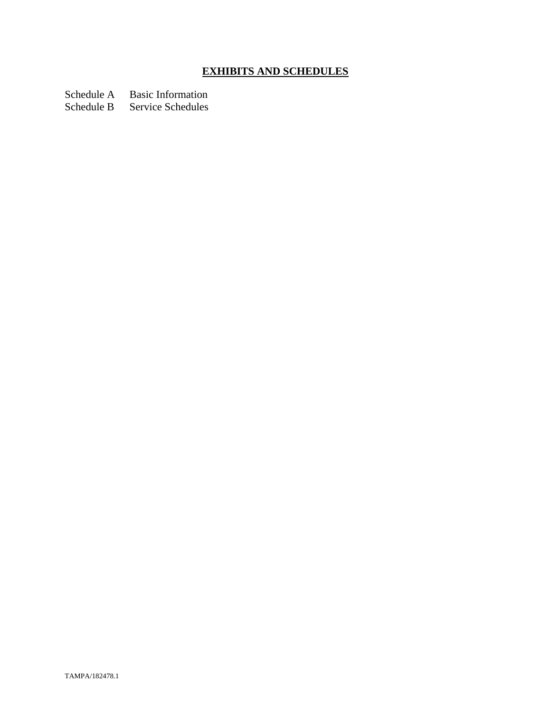# **EXHIBITS AND SCHEDULES**

Schedule A Basic Information

Schedule B Service Schedules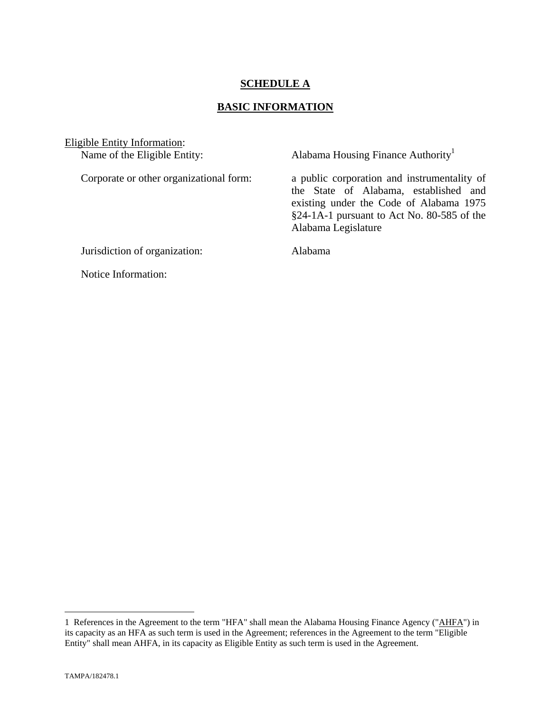## **SCHEDULE A**

## **BASIC INFORMATION**

Eligible Entity Information:<br>Name of the Eligible Entity:

Alabama Housing Finance Authority<sup>1</sup>

Corporate or other organizational form: a public corporation and instrumentality of the State of Alabama, established and existing under the Code of Alabama 1975 §24-1A-1 pursuant to Act No. 80-585 of the Alabama Legislature

Jurisdiction of organization: Alabama

Notice Information:

1

<sup>1</sup> References in the Agreement to the term "HFA" shall mean the Alabama Housing Finance Agency ("AHFA") in its capacity as an HFA as such term is used in the Agreement; references in the Agreement to the term "Eligible Entity" shall mean AHFA, in its capacity as Eligible Entity as such term is used in the Agreement.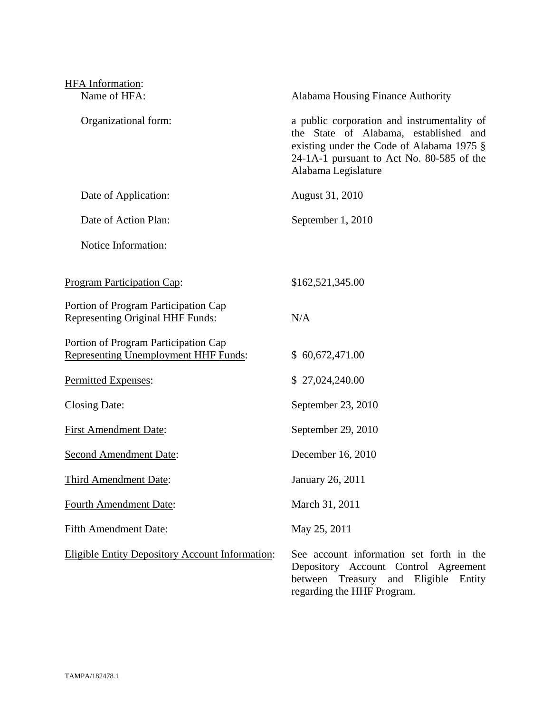| HFA Information:                                                                    |                                                                                                                                                                                                       |
|-------------------------------------------------------------------------------------|-------------------------------------------------------------------------------------------------------------------------------------------------------------------------------------------------------|
| Name of HFA:                                                                        | Alabama Housing Finance Authority                                                                                                                                                                     |
| Organizational form:                                                                | a public corporation and instrumentality of<br>the State of Alabama, established and<br>existing under the Code of Alabama 1975 §<br>24-1A-1 pursuant to Act No. 80-585 of the<br>Alabama Legislature |
| Date of Application:                                                                | August 31, 2010                                                                                                                                                                                       |
| Date of Action Plan:                                                                | September 1, 2010                                                                                                                                                                                     |
| Notice Information:                                                                 |                                                                                                                                                                                                       |
| <b>Program Participation Cap:</b>                                                   | \$162,521,345.00                                                                                                                                                                                      |
| Portion of Program Participation Cap<br><b>Representing Original HHF Funds:</b>     | N/A                                                                                                                                                                                                   |
| Portion of Program Participation Cap<br><b>Representing Unemployment HHF Funds:</b> | \$60,672,471.00                                                                                                                                                                                       |
| Permitted Expenses:                                                                 | \$27,024,240.00                                                                                                                                                                                       |
| <b>Closing Date:</b>                                                                | September 23, 2010                                                                                                                                                                                    |
| <b>First Amendment Date:</b>                                                        | September 29, 2010                                                                                                                                                                                    |
| <b>Second Amendment Date:</b>                                                       | December 16, 2010                                                                                                                                                                                     |
| Third Amendment Date:                                                               | January 26, 2011                                                                                                                                                                                      |
| <b>Fourth Amendment Date:</b>                                                       | March 31, 2011                                                                                                                                                                                        |
| <b>Fifth Amendment Date:</b>                                                        | May 25, 2011                                                                                                                                                                                          |
| Eligible Entity Depository Account Information:                                     | See account information set forth in the<br>Depository Account Control Agreement<br>between<br>Treasury<br>and Eligible Entity                                                                        |

regarding the HHF Program.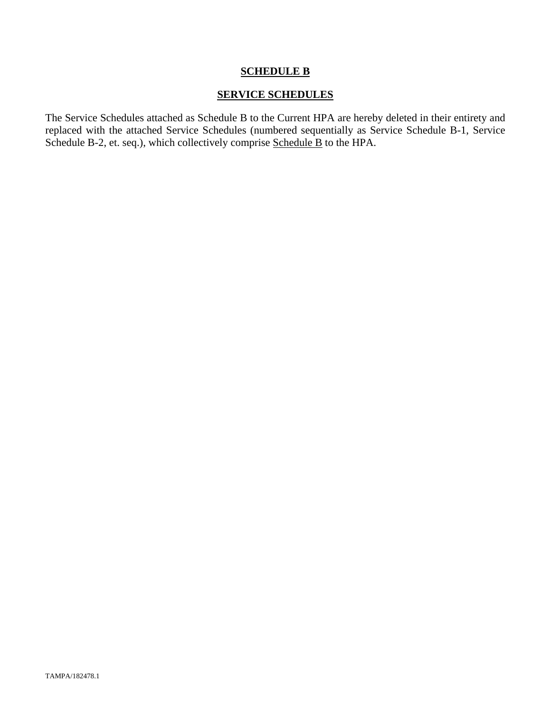## **SCHEDULE B**

## **SERVICE SCHEDULES**

The Service Schedules attached as Schedule B to the Current HPA are hereby deleted in their entirety and replaced with the attached Service Schedules (numbered sequentially as Service Schedule B-1, Service Schedule B-2, et. seq.), which collectively comprise Schedule B to the HPA.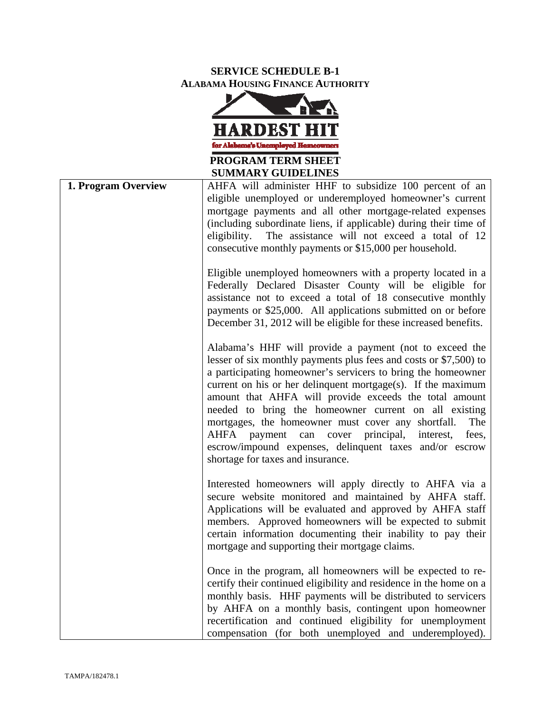## **SERVICE SCHEDULE B-1 ALABAMA HOUSING FINANCE AUTHORITY**



| <b>SUMMARY GUIDELINES</b> |                                                                                                                                                                                                                                                                                                                                                                                                                                                                                                                                                                                                                         |  |
|---------------------------|-------------------------------------------------------------------------------------------------------------------------------------------------------------------------------------------------------------------------------------------------------------------------------------------------------------------------------------------------------------------------------------------------------------------------------------------------------------------------------------------------------------------------------------------------------------------------------------------------------------------------|--|
| 1. Program Overview       | AHFA will administer HHF to subsidize 100 percent of an<br>eligible unemployed or underemployed homeowner's current<br>mortgage payments and all other mortgage-related expenses<br>(including subordinate liens, if applicable) during their time of<br>The assistance will not exceed a total of 12<br>eligibility.<br>consecutive monthly payments or \$15,000 per household.                                                                                                                                                                                                                                        |  |
|                           | Eligible unemployed homeowners with a property located in a<br>Federally Declared Disaster County will be eligible for<br>assistance not to exceed a total of 18 consecutive monthly<br>payments or \$25,000. All applications submitted on or before<br>December 31, 2012 will be eligible for these increased benefits.                                                                                                                                                                                                                                                                                               |  |
|                           | Alabama's HHF will provide a payment (not to exceed the<br>lesser of six monthly payments plus fees and costs or \$7,500) to<br>a participating homeowner's servicers to bring the homeowner<br>current on his or her delinquent mortgage(s). If the maximum<br>amount that AHFA will provide exceeds the total amount<br>needed to bring the homeowner current on all existing<br>mortgages, the homeowner must cover any shortfall.<br>The<br><b>AHFA</b><br>can<br>cover<br>principal, interest,<br>fees,<br>payment<br>escrow/impound expenses, delinquent taxes and/or escrow<br>shortage for taxes and insurance. |  |
|                           | Interested homeowners will apply directly to AHFA via a<br>secure website monitored and maintained by AHFA staff.<br>Applications will be evaluated and approved by AHFA staff<br>members. Approved homeowners will be expected to submit<br>certain information documenting their inability to pay their<br>mortgage and supporting their mortgage claims.                                                                                                                                                                                                                                                             |  |
|                           | Once in the program, all homeowners will be expected to re-<br>certify their continued eligibility and residence in the home on a<br>monthly basis. HHF payments will be distributed to servicers<br>by AHFA on a monthly basis, contingent upon homeowner<br>recertification and continued eligibility for unemployment<br>compensation (for both unemployed and underemployed).                                                                                                                                                                                                                                       |  |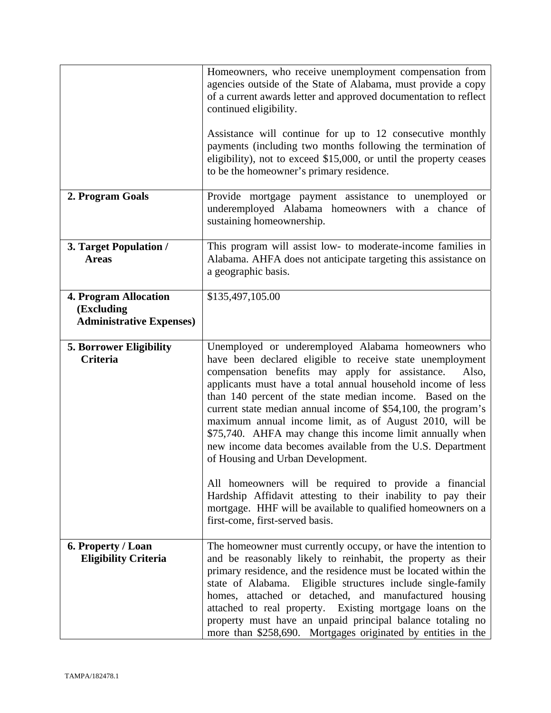|                                                                               | Homeowners, who receive unemployment compensation from<br>agencies outside of the State of Alabama, must provide a copy<br>of a current awards letter and approved documentation to reflect<br>continued eligibility.<br>Assistance will continue for up to 12 consecutive monthly<br>payments (including two months following the termination of<br>eligibility), not to exceed \$15,000, or until the property ceases<br>to be the homeowner's primary residence.                                                                                                                                  |
|-------------------------------------------------------------------------------|------------------------------------------------------------------------------------------------------------------------------------------------------------------------------------------------------------------------------------------------------------------------------------------------------------------------------------------------------------------------------------------------------------------------------------------------------------------------------------------------------------------------------------------------------------------------------------------------------|
| 2. Program Goals                                                              | Provide mortgage payment assistance to unemployed or<br>underemployed Alabama homeowners with a chance of<br>sustaining homeownership.                                                                                                                                                                                                                                                                                                                                                                                                                                                               |
| 3. Target Population /<br><b>Areas</b>                                        | This program will assist low- to moderate-income families in<br>Alabama. AHFA does not anticipate targeting this assistance on<br>a geographic basis.                                                                                                                                                                                                                                                                                                                                                                                                                                                |
| <b>4. Program Allocation</b><br>(Excluding<br><b>Administrative Expenses)</b> | \$135,497,105.00                                                                                                                                                                                                                                                                                                                                                                                                                                                                                                                                                                                     |
| <b>5. Borrower Eligibility</b><br><b>Criteria</b>                             | Unemployed or underemployed Alabama homeowners who<br>have been declared eligible to receive state unemployment<br>compensation benefits may apply for assistance.<br>Also,<br>applicants must have a total annual household income of less<br>than 140 percent of the state median income. Based on the<br>current state median annual income of \$54,100, the program's<br>maximum annual income limit, as of August 2010, will be<br>\$75,740. AHFA may change this income limit annually when<br>new income data becomes available from the U.S. Department<br>of Housing and Urban Development. |
|                                                                               | All homeowners will be required to provide a financial<br>Hardship Affidavit attesting to their inability to pay their<br>mortgage. HHF will be available to qualified homeowners on a<br>first-come, first-served basis.                                                                                                                                                                                                                                                                                                                                                                            |
| 6. Property / Loan<br><b>Eligibility Criteria</b>                             | The homeowner must currently occupy, or have the intention to<br>and be reasonably likely to reinhabit, the property as their<br>primary residence, and the residence must be located within the<br>state of Alabama. Eligible structures include single-family<br>homes, attached or detached, and manufactured housing<br>attached to real property. Existing mortgage loans on the<br>property must have an unpaid principal balance totaling no<br>more than \$258,690. Mortgages originated by entities in the                                                                                  |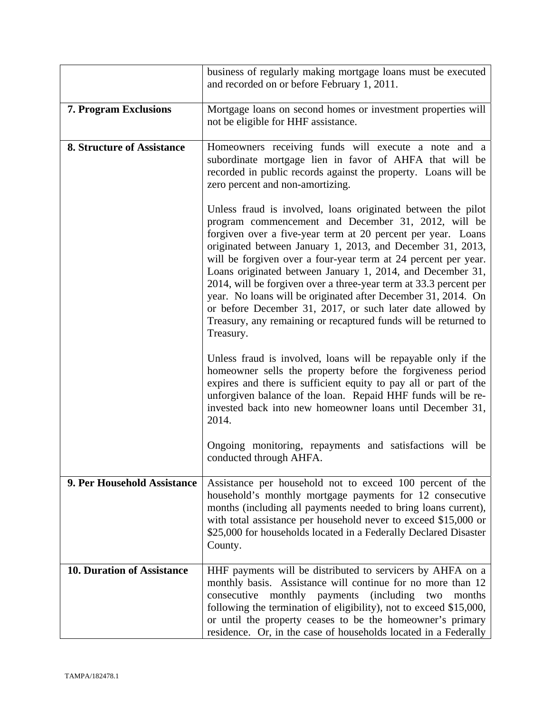|                                   | business of regularly making mortgage loans must be executed<br>and recorded on or before February 1, 2011.                                                                                                                                                                                                                                                                                                                                                                                                                                                                                                                                                           |
|-----------------------------------|-----------------------------------------------------------------------------------------------------------------------------------------------------------------------------------------------------------------------------------------------------------------------------------------------------------------------------------------------------------------------------------------------------------------------------------------------------------------------------------------------------------------------------------------------------------------------------------------------------------------------------------------------------------------------|
| <b>7. Program Exclusions</b>      | Mortgage loans on second homes or investment properties will<br>not be eligible for HHF assistance.                                                                                                                                                                                                                                                                                                                                                                                                                                                                                                                                                                   |
| <b>8. Structure of Assistance</b> | Homeowners receiving funds will execute a note and a<br>subordinate mortgage lien in favor of AHFA that will be<br>recorded in public records against the property. Loans will be<br>zero percent and non-amortizing.                                                                                                                                                                                                                                                                                                                                                                                                                                                 |
|                                   | Unless fraud is involved, loans originated between the pilot<br>program commencement and December 31, 2012, will be<br>forgiven over a five-year term at 20 percent per year. Loans<br>originated between January 1, 2013, and December 31, 2013,<br>will be forgiven over a four-year term at 24 percent per year.<br>Loans originated between January 1, 2014, and December 31,<br>2014, will be forgiven over a three-year term at 33.3 percent per<br>year. No loans will be originated after December 31, 2014. On<br>or before December 31, 2017, or such later date allowed by<br>Treasury, any remaining or recaptured funds will be returned to<br>Treasury. |
|                                   | Unless fraud is involved, loans will be repayable only if the<br>homeowner sells the property before the forgiveness period<br>expires and there is sufficient equity to pay all or part of the<br>unforgiven balance of the loan. Repaid HHF funds will be re-<br>invested back into new homeowner loans until December 31,<br>2014.                                                                                                                                                                                                                                                                                                                                 |
|                                   | Ongoing monitoring, repayments and satisfactions will be<br>conducted through AHFA.                                                                                                                                                                                                                                                                                                                                                                                                                                                                                                                                                                                   |
| 9. Per Household Assistance       | Assistance per household not to exceed 100 percent of the<br>household's monthly mortgage payments for 12 consecutive<br>months (including all payments needed to bring loans current),<br>with total assistance per household never to exceed \$15,000 or<br>\$25,000 for households located in a Federally Declared Disaster<br>County.                                                                                                                                                                                                                                                                                                                             |
| <b>10. Duration of Assistance</b> | HHF payments will be distributed to servicers by AHFA on a<br>monthly basis. Assistance will continue for no more than 12<br>consecutive<br>monthly<br>payments<br>(including)<br>months<br>two<br>following the termination of eligibility), not to exceed \$15,000,<br>or until the property ceases to be the homeowner's primary<br>residence. Or, in the case of households located in a Federally                                                                                                                                                                                                                                                                |